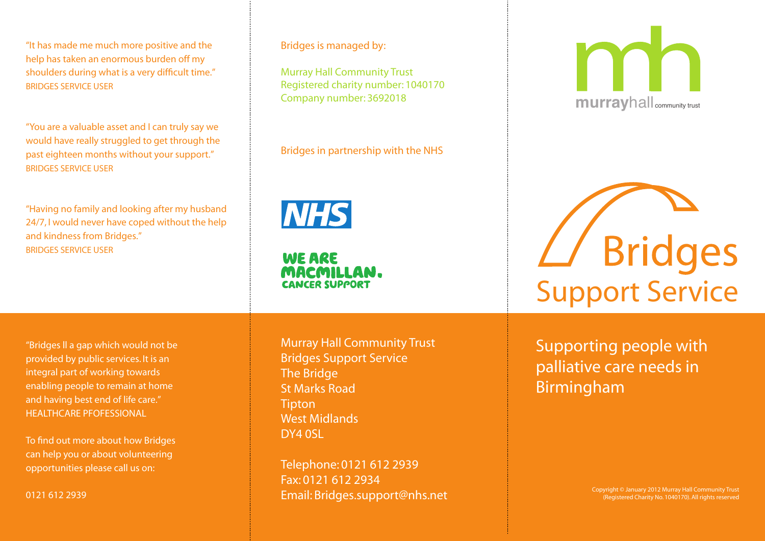"It has made me much more positive and the help has taken an enormous burden off my shoulders during what is a very difficult time." BRIDGES SERVICE USER

"You are a valuable asset and I can truly say we would have really struggled to get through the past eighteen months without your support." BRIDGES SERVICE USER

"Having no family and looking after my husband 24/7, I would never have coped without the help and kindness from Bridges." BRIDGES SERVICE USER

Bridges is managed by:

Murray Hall Community Trust Registered charity number: 1040170 Company number: 3692018

## Bridges in partnership with the NHS

**NHS** 

**WE ARE** MACMILLAN. **CANCER SUPPORT** 

"Bridges ll a gap which would not be provided by public services. It is an integral part of working towards enabling people to remain at home and having best end of life care." HEALTHCARE PFOFESSIONAL

To find out more about how Bridges can help you or about volunteering opportunities please call us on:

0121 612 2939

Murray Hall Community Trust Bridges Support Service The Bridge St Marks Road **Tipton** West Midlands DY4 0SL

Telephone: 0121 612 2939 Fax: 0121 612 2934 Email: Bridges.support@nhs.net



Support Service

Supporting people with palliative care needs in Birmingham

> Copyright © January 2012 Murray Hall Community Trust (Registered Charity No. 1040170). All rights reserved